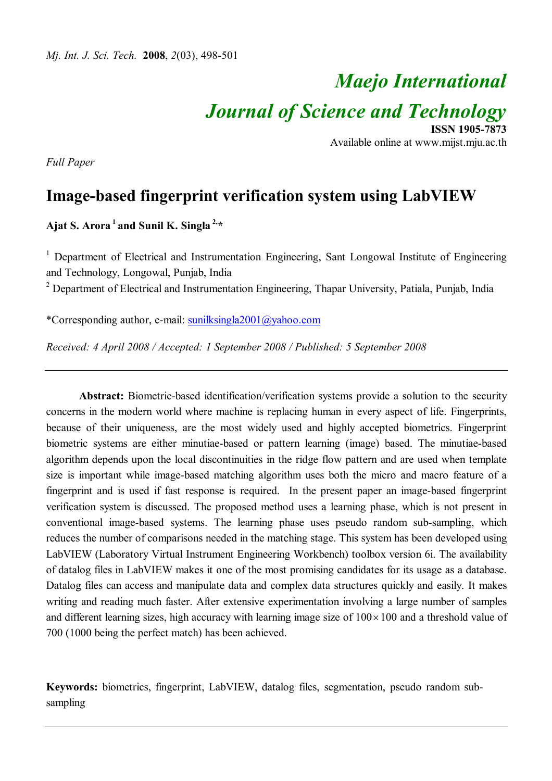# *Maejo International Journal of Science and Technology* **ISSN 1905-7873**

Available online at www.mijst.mju.ac.th

*Full Paper*

# **Image-based fingerprint verification system using LabVIEW**

**Ajat S. Arora<sup>1</sup> and Sunil K. Singla 2,\***

<sup>1</sup> Department of Electrical and Instrumentation Engineering, Sant Longowal Institute of Engineering and Technology, Longowal, Punjab, India

<sup>2</sup> Department of Electrical and Instrumentation Engineering, Thapar University, Patiala, Punjab, India

\*Corresponding author, e-mail: sunilksingla2001@yahoo.com

*Received: 4 April 2008 / Accepted: 1 September 2008 / Published: 5 September 2008*

**Abstract:** Biometric-based identification/verification systems provide a solution to the security concerns in the modern world where machine is replacing human in every aspect of life. Fingerprints, because of their uniqueness, are the most widely used and highly accepted biometrics. Fingerprint biometric systems are either minutiae-based or pattern learning (image) based. The minutiae-based algorithm depends upon the local discontinuities in the ridge flow pattern and are used when template size is important while image-based matching algorithm uses both the micro and macro feature of a fingerprint and is used if fast response is required. In the present paper an image-based fingerprint verification system is discussed. The proposed method uses a learning phase, which is not present in conventional image-based systems. The learning phase uses pseudo random sub-sampling, which reduces the number of comparisons needed in the matching stage. This system has been developed using LabVIEW (Laboratory Virtual Instrument Engineering Workbench) toolbox version 6i. The availability of datalog files in LabVIEW makes it one of the most promising candidates for its usage as a database. Datalog files can access and manipulate data and complex data structures quickly and easily. It makes writing and reading much faster. After extensive experimentation involving a large number of samples and different learning sizes, high accuracy with learning image size of  $100 \times 100$  and a threshold value of 700 (1000 being the perfect match) has been achieved.

**Keywords:** biometrics, fingerprint, LabVIEW, datalog files, segmentation, pseudo random subsampling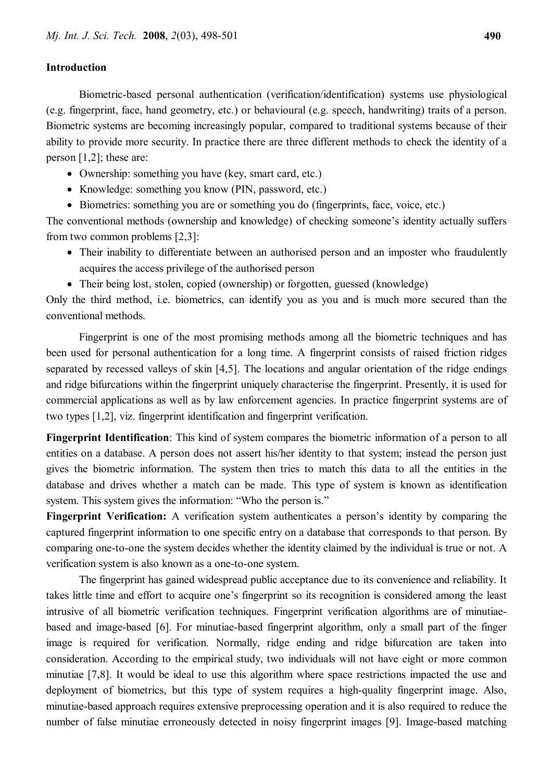#### **Introduction**

Biometric-based personal authentication (verification/identification) systems use physiological (e.g. fingerprint, face, hand geometry, etc.) or behavioural (e.g. speech, handwriting) traits of a person. Biometric systems are becoming increasingly popular, compared to traditional systems because of their ability to provide more security. In practice there are three different methods to check the identity of a person [1,2]; these are:

- Ownership: something you have (key, smart card, etc.)
- Knowledge: something you know (PIN, password, etc.)
- Biometrics: something you are or something you do (fingerprints, face, voice, etc.)

The conventional methods (ownership and knowledge) of checking someone's identity actually suffers from two common problems [2,3]:

- Their inability to differentiate between an authorised person and an imposter who fraudulently acquires the access privilege of the authorised person
- Their being lost, stolen, copied (ownership) or forgotten, guessed (knowledge)

Only the third method, i.e. biometrics, can identify you as you and is much more secured than the conventional methods.

Fingerprint is one of the most promising methods among all the biometric techniques and has been used for personal authentication for a long time. A fingerprint consists of raised friction ridges separated by recessed valleys of skin [4,5]. The locations and angular orientation of the ridge endings and ridge bifurcations within the fingerprint uniquely characterise the fingerprint. Presently, it is used for commercial applications as well as by law enforcement agencies. In practice fingerprint systems are of two types [1,2], viz. fingerprint identification and fingerprint verification.

**Fingerprint Identification**: This kind of system compares the biometric information of a person to all entities on a database. A person does not assert his/her identity to that system; instead the person just gives the biometric information. The system then tries to match this data to all the entities in the database and drives whether a match can be made. This type of system is known as identification system. This system gives the information: "Who the person is."

**Fingerprint Verification:** A verification system authenticates a person's identity by comparing the captured fingerprint information to one specific entry on a database that corresponds to that person. By comparing one-to-one the system decides whether the identity claimed by the individual is true or not. A verification system is also known as a one-to-one system.

The fingerprint has gained widespread public acceptance due to its convenience and reliability. It takes little time and effort to acquire one's fingerprint so its recognition is considered among the least intrusive of all biometric verification techniques. Fingerprint verification algorithms are of minutiaebased and image-based [6]. For minutiae-based fingerprint algorithm, only a small part of the finger image is required for verification. Normally, ridge ending and ridge bifurcation are taken into consideration. According to the empirical study, two individuals will not have eight or more common minutiae [7,8]. It would be ideal to use this algorithm where space restrictions impacted the use and deployment of biometrics, but this type of system requires a high-quality fingerprint image. Also, minutiae-based approach requires extensive preprocessing operation and it is also required to reduce the number of false minutiae erroneously detected in noisy fingerprint images [9]. Image-based matching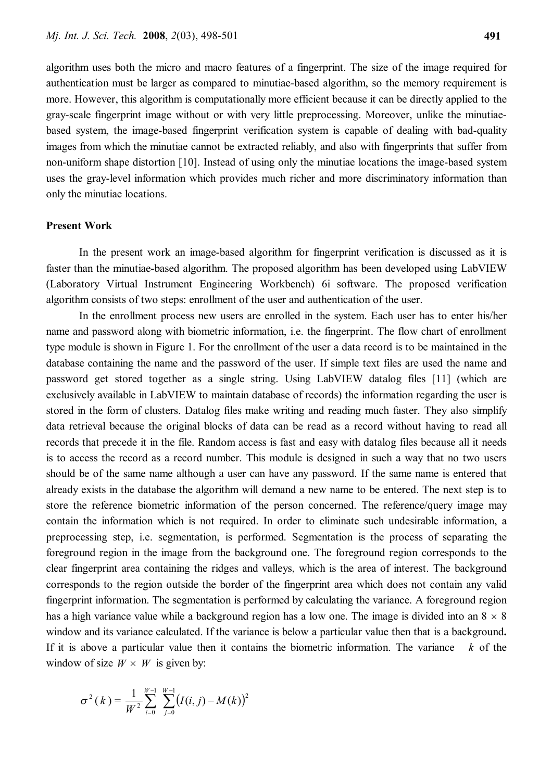algorithm uses both the micro and macro features of a fingerprint. The size of the image required for authentication must be larger as compared to minutiae-based algorithm, so the memory requirement is more. However, this algorithm is computationally more efficient because it can be directly applied to the gray-scale fingerprint image without or with very little preprocessing. Moreover, unlike the minutiaebased system, the image-based fingerprint verification system is capable of dealing with bad-quality images from which the minutiae cannot be extracted reliably, and also with fingerprints that suffer from non-uniform shape distortion [10]. Instead of using only the minutiae locations the image-based system uses the gray-level information which provides much richer and more discriminatory information than only the minutiae locations.

#### **Present Work**

In the present work an image-based algorithm for fingerprint verification is discussed as it is faster than the minutiae-based algorithm. The proposed algorithm has been developed using LabVIEW (Laboratory Virtual Instrument Engineering Workbench) 6i software. The proposed verification algorithm consists of two steps: enrollment of the user and authentication of the user.

In the enrollment process new users are enrolled in the system. Each user has to enter his/her name and password along with biometric information, i.e. the fingerprint. The flow chart of enrollment type module is shown in Figure 1. For the enrollment of the user a data record is to be maintained in the database containing the name and the password of the user. If simple text files are used the name and password get stored together as a single string. Using LabVIEW datalog files [11] (which are exclusively available in LabVIEW to maintain database of records) the information regarding the user is stored in the form of clusters. Datalog files make writing and reading much faster. They also simplify data retrieval because the original blocks of data can be read as a record without having to read all records that precede it in the file. Random access is fast and easy with datalog files because all it needs is to access the record as a record number. This module is designed in such a way that no two users should be of the same name although a user can have any password. If the same name is entered that already exists in the database the algorithm will demand a new name to be entered. The next step is to store the reference biometric information of the person concerned. The reference/query image may contain the information which is not required. In order to eliminate such undesirable information, a preprocessing step, i.e. segmentation, is performed. Segmentation is the process of separating the foreground region in the image from the background one. The foreground region corresponds to the clear fingerprint area containing the ridges and valleys, which is the area of interest. The background corresponds to the region outside the border of the fingerprint area which does not contain any valid fingerprint information. The segmentation is performed by calculating the variance. A foreground region has a high variance value while a background region has a low one. The image is divided into an  $8 \times 8$ window and its variance calculated. If the variance is below a particular value then that is a background**.**  If it is above a particular value then it contains the biometric information. The variance *k* of the window of size  $W \times W$  is given by:

$$
\sigma^{2}(k) = \frac{1}{W^{2}} \sum_{i=0}^{W-1} \sum_{j=0}^{W-1} (I(i, j) - M(k))^{2}
$$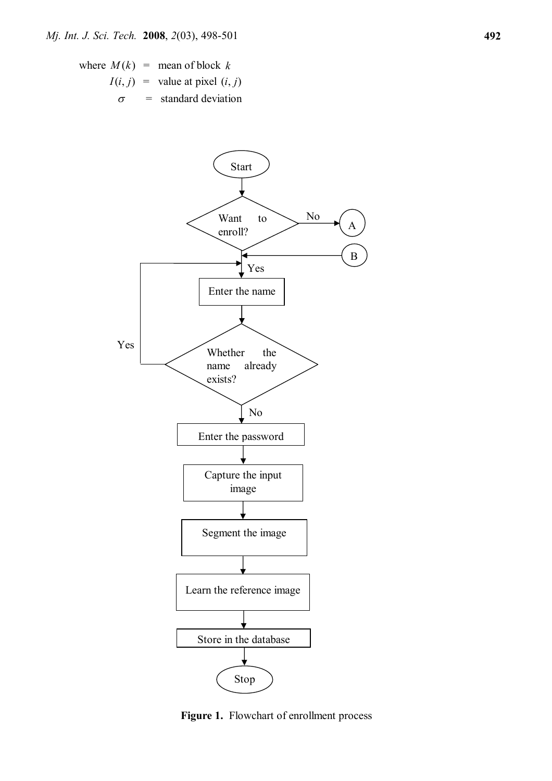where  $M(k)$  = mean of block  $k$  $I(i, j)$  = value at pixel  $(i, j)$  $\sigma$  = standard deviation



**Figure 1.** Flowchart of enrollment process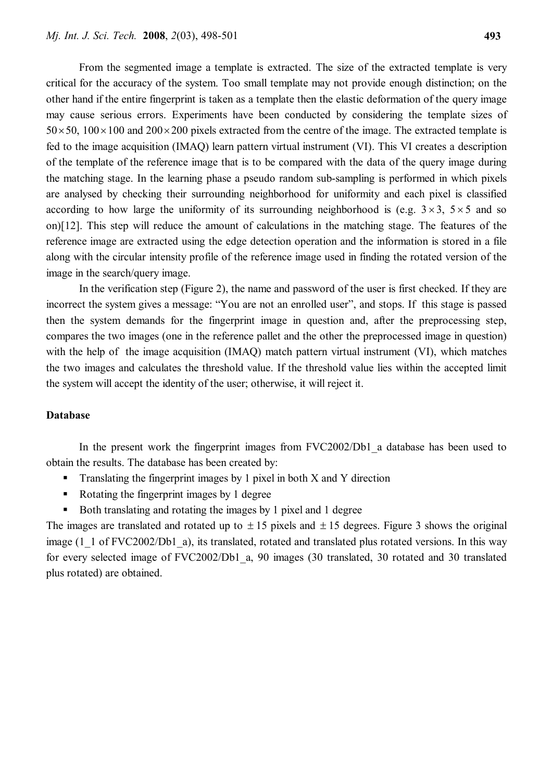From the segmented image a template is extracted. The size of the extracted template is very critical for the accuracy of the system. Too small template may not provide enough distinction; on the other hand if the entire fingerprint is taken as a template then the elastic deformation of the query image may cause serious errors. Experiments have been conducted by considering the template sizes of  $50\times50$ ,  $100\times100$  and  $200\times200$  pixels extracted from the centre of the image. The extracted template is fed to the image acquisition (IMAQ) learn pattern virtual instrument (VI). This VI creates a description of the template of the reference image that is to be compared with the data of the query image during the matching stage. In the learning phase a pseudo random sub-sampling is performed in which pixels are analysed by checking their surrounding neighborhood for uniformity and each pixel is classified according to how large the uniformity of its surrounding neighborhood is (e.g.  $3 \times 3$ ,  $5 \times 5$  and so on)[12]. This step will reduce the amount of calculations in the matching stage. The features of the reference image are extracted using the edge detection operation and the information is stored in a file along with the circular intensity profile of the reference image used in finding the rotated version of the image in the search/query image.

In the verification step (Figure 2), the name and password of the user is first checked. If they are incorrect the system gives a message: "You are not an enrolled user", and stops. If this stage is passed then the system demands for the fingerprint image in question and, after the preprocessing step, compares the two images (one in the reference pallet and the other the preprocessed image in question) with the help of the image acquisition (IMAQ) match pattern virtual instrument (VI), which matches the two images and calculates the threshold value. If the threshold value lies within the accepted limit the system will accept the identity of the user; otherwise, it will reject it.

#### **Database**

In the present work the fingerprint images from FVC2002/Db1\_a database has been used to obtain the results. The database has been created by:

- **Translating the fingerprint images by 1 pixel in both X and Y direction**
- Rotating the fingerprint images by 1 degree
- Both translating and rotating the images by 1 pixel and 1 degree

The images are translated and rotated up to  $\pm 15$  pixels and  $\pm 15$  degrees. Figure 3 shows the original image (1\_1 of FVC2002/Db1\_a), its translated, rotated and translated plus rotated versions. In this way for every selected image of FVC2002/Db1\_a, 90 images (30 translated, 30 rotated and 30 translated plus rotated) are obtained.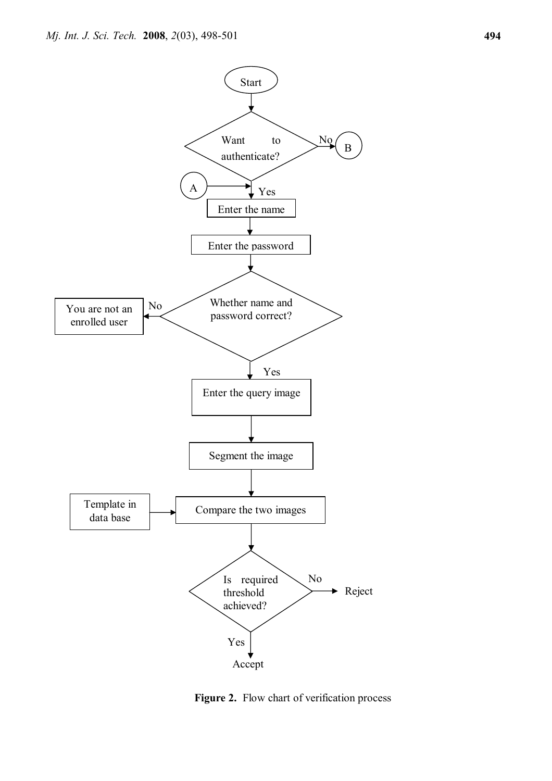

**Figure 2.** Flow chart of verification process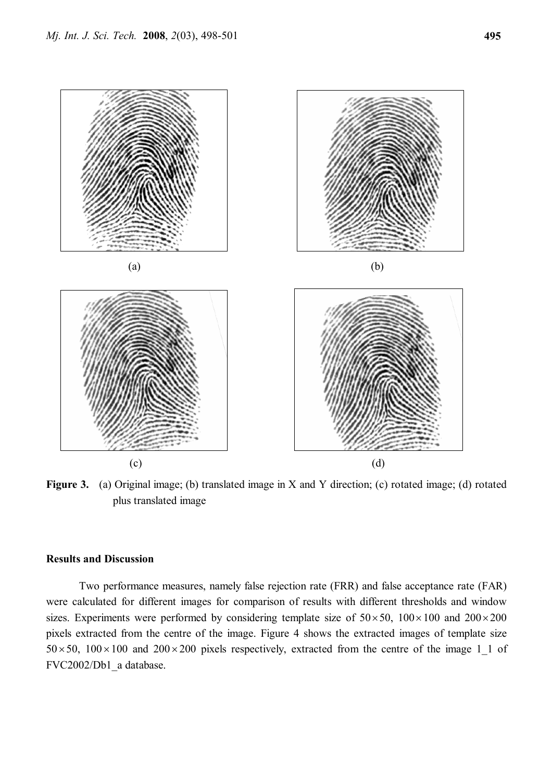

**Figure 3.** (a) Original image; (b) translated image in X and Y direction; (c) rotated image; (d) rotated plus translated image

## **Results and Discussion**

Two performance measures, namely false rejection rate (FRR) and false acceptance rate (FAR) were calculated for different images for comparison of results with different thresholds and window sizes. Experiments were performed by considering template size of  $50\times50$ ,  $100\times100$  and  $200\times200$ pixels extracted from the centre of the image. Figure 4 shows the extracted images of template size  $50 \times 50$ ,  $100 \times 100$  and  $200 \times 200$  pixels respectively, extracted from the centre of the image 1 1 of FVC2002/Db1\_a database.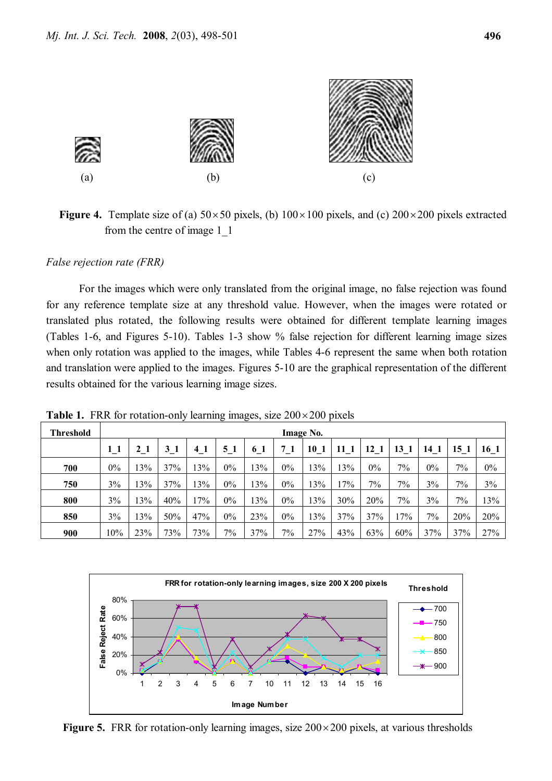

**Figure 4.** Template size of (a)  $50 \times 50$  pixels, (b)  $100 \times 100$  pixels, and (c)  $200 \times 200$  pixels extracted from the centre of image 1\_1

*False rejection rate (FRR)*

For the images which were only translated from the original image, no false rejection was found for any reference template size at any threshold value. However, when the images were rotated or translated plus rotated, the following results were obtained for different template learning images (Tables 1-6, and Figures 5-10). Tables 1-3 show % false rejection for different learning image sizes when only rotation was applied to the images, while Tables 4-6 represent the same when both rotation and translation were applied to the images. Figures 5-10 are the graphical representation of the different results obtained for the various learning image sizes.

| Threshold | <b>Image No.</b> |     |     |     |       |     |       |     |     |       |       |       |                 |       |
|-----------|------------------|-----|-----|-----|-------|-----|-------|-----|-----|-------|-------|-------|-----------------|-------|
|           |                  |     | 3   | 41  | 51    | 6 1 | 71    | 10  | 11  | 12 1  | 13    | 14    | 15 <sub>1</sub> | 16 1  |
| 700       | 0%               | 3%  | 37% | 13% | $0\%$ | 13% | $0\%$ | 3%  | 3%  | $0\%$ | $7\%$ | $0\%$ | 7%              | $0\%$ |
| 750       | 3%               | 3%  | 37% | 13% | $0\%$ | 13% | $0\%$ | 13% | 7%  | $7\%$ | 7%    | 3%    | $7\%$           | 3%    |
| 800       | 3%               | 3%  | 40% | 17% | $0\%$ | 13% | $0\%$ | 13% | 30% | 20%   | 7%    | 3%    | 7%              | 13%   |
| 850       | 3%               | 3%  | 50% | 47% | $0\%$ | 23% | $0\%$ | 13% | 37% | 37%   | 17%   | 7%    | 20%             | 20%   |
| 900       | 10%              | 23% | 73% | 73% | 7%    | 37% | $7\%$ | 27% | 43% | 63%   | 60%   | 37%   | 37%             | 27%   |

**Table 1.** FRR for rotation-only learning images, size  $200 \times 200$  pixels



**Figure 5.** FRR for rotation-only learning images, size  $200 \times 200$  pixels, at various thresholds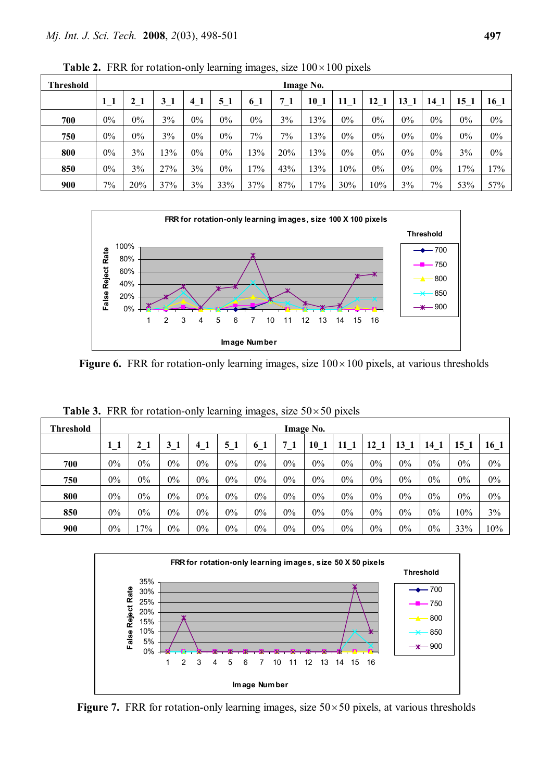| <b>Threshold</b> | Image No. |       |         |       |          |          |       |      |                 |       |       |                 |       |       |
|------------------|-----------|-------|---------|-------|----------|----------|-------|------|-----------------|-------|-------|-----------------|-------|-------|
|                  | $1_{1}$   | 21    | $3_{1}$ | 41    | $5_{-1}$ | $6_{-}1$ |       | 10 1 | 11 <sub>1</sub> | 12    | 13    | 14 <sub>1</sub> | 15 1  | 16 1  |
| 700              | $0\%$     | $0\%$ | 3%      | $0\%$ | $0\%$    | $0\%$    | 3%    | 13%  | 0%              | $0\%$ | $0\%$ | $0\%$           | $0\%$ | $0\%$ |
| 750              | $0\%$     | $0\%$ | 3%      | $0\%$ | $0\%$    | $7\%$    | $7\%$ | 13%  | 0%              | $0\%$ | $0\%$ | 0%              | $0\%$ | $0\%$ |
| 800              | $0\%$     | 3%    | 13%     | $0\%$ | $0\%$    | 13%      | 20%   | 13%  | 0%              | $0\%$ | $0\%$ | 0%              | 3%    | $0\%$ |
| 850              | $0\%$     | 3%    | 27%     | 3%    | $0\%$    | 17%      | 43%   | 13%  | 10%             | $0\%$ | $0\%$ | 0%              | 17%   | 17%   |
| 900              | 7%        | 20%   | 37%     | 3%    | 33%      | 37%      | 87%   | 17%  | 30%             | 10%   | 3%    | $7\%$           | 53%   | 57%   |

**Table 2.** FRR for rotation-only learning images, size  $100 \times 100$  pixels



**Figure 6.** FRR for rotation-only learning images, size  $100 \times 100$  pixels, at various thresholds

| Threshold | <b>Image No.</b> |       |                |       |       |       |       |       |       |                 |                 |                 |       |       |
|-----------|------------------|-------|----------------|-------|-------|-------|-------|-------|-------|-----------------|-----------------|-----------------|-------|-------|
|           | 11               | 21    | 3 <sub>1</sub> | 41    | 51    | 6     | 71    | 10    | 11    | 12 <sub>1</sub> | 13 <sup>7</sup> | 14 <sub>1</sub> | 15 1  | 16 1  |
| 700       | 0%               | 0%    | $0\%$          | $0\%$ | $0\%$ | 0%    | $0\%$ | $0\%$ | 0%    | $0\%$           | $0\%$           | $0\%$           | $0\%$ | $0\%$ |
| 750       | 0%               | 0%    | 0%             | $0\%$ | $0\%$ | 0%    | $0\%$ | $0\%$ | 0%    | $0\%$           | 0%              | 0%              | 0%    | $0\%$ |
| 800       | 0%               | $0\%$ | 0%             | $0\%$ | $0\%$ | 0%    | $0\%$ | $0\%$ | 0%    | $0\%$           | $0\%$           | 0%              | 0%    | $0\%$ |
| 850       | $0\%$            | 0%    | $0\%$          | $0\%$ | $0\%$ | $0\%$ | $0\%$ | $0\%$ | $0\%$ | $0\%$           | 0%              | $0\%$           | 10%   | 3%    |
| 900       | $0\%$            | $7\%$ | $0\%$          | $0\%$ | $0\%$ | $0\%$ | $0\%$ | 0%    | 0%    | $0\%$           | $0\%$           | $0\%$           | 33%   | 10%   |

**Table 3.** FRR for rotation-only learning images, size  $50 \times 50$  pixels



**Figure 7.** FRR for rotation-only learning images, size  $50 \times 50$  pixels, at various thresholds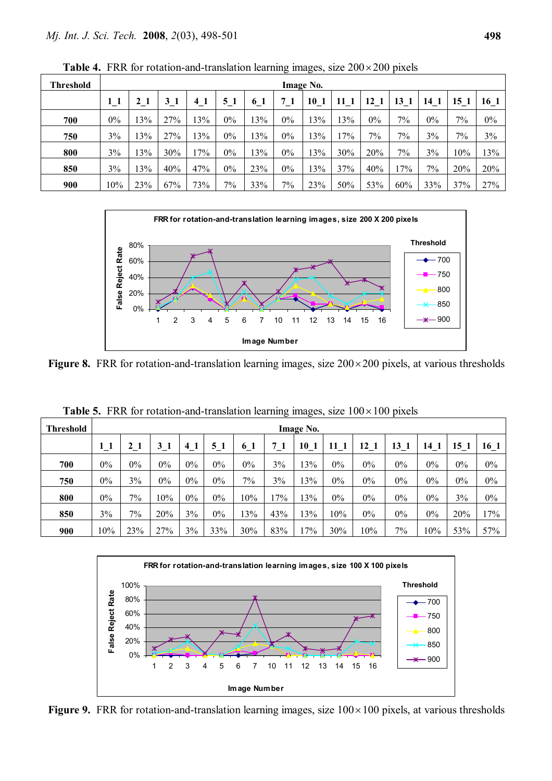| <b>Threshold</b> | <b>Image No.</b> |              |       |     |       |     |       |                 |     |       |       |       |                 |       |
|------------------|------------------|--------------|-------|-----|-------|-----|-------|-----------------|-----|-------|-------|-------|-----------------|-------|
|                  |                  | $\mathbf{2}$ | $3-1$ | 41  | 51    | 61  | 71    | 10 <sub>1</sub> | 11  | 12 1  | 13    | 14 1  | 15 <sub>1</sub> | 16 1  |
| 700              | $0\%$            | 13%          | 27%   | 13% | $0\%$ | 13% | $0\%$ | 13%             | 13% | $0\%$ | $7\%$ | $0\%$ | 7%              | $0\%$ |
| 750              | 3%               | 13%          | 27%   | 13% | $0\%$ | 13% | $0\%$ | 13%             | 17% | 7%    | $7\%$ | 3%    | 7%              | 3%    |
| 800              | 3%               | 13%          | 30%   | 17% | $0\%$ | 13% | $0\%$ | 13%             | 30% | 20%   | $7\%$ | 3%    | 10%             | 13%   |
| 850              | 3%               | 13%          | 40%   | 47% | $0\%$ | 23% | $0\%$ | 13%             | 37% | 40%   | 17%   | 7%    | 20%             | 20%   |
| 900              | 10%              | 23%          | 67%   | 73% | 7%    | 33% | 7%    | 23%             | 50% | 53%   | 60%   | 33%   | 37%             | 27%   |

**Table 4.** FRR for rotation-and-translation learning images, size  $200 \times 200$  pixels



**Figure 8.** FRR for rotation-and-translation learning images, size  $200 \times 200$  pixels, at various thresholds

| <b>Threshold</b> | Image No. |       |       |                |       |       |     |      |      |       |       |       |       |       |
|------------------|-----------|-------|-------|----------------|-------|-------|-----|------|------|-------|-------|-------|-------|-------|
|                  |           | 21    | 31    | $\overline{4}$ | 51    | 61    | 71  | 10 1 | 11 1 | 12    | 13 1  | 14    | 15 1  | 16 1  |
| 700              | $0\%$     | $0\%$ | $0\%$ | 0%             | $0\%$ | $0\%$ | 3%  | 13%  | 0%   | $0\%$ | $0\%$ | $0\%$ | $0\%$ | $0\%$ |
| 750              | $0\%$     | 3%    | $0\%$ | $0\%$          | $0\%$ | 7%    | 3%  | 13%  | 0%   | $0\%$ | $0\%$ | $0\%$ | $0\%$ | $0\%$ |
| 800              | 0%        | 7%    | 10%   | 0%             | 0%    | 10%   | 17% | 13%  | 0%   | $0\%$ | $0\%$ | $0\%$ | 3%    | $0\%$ |
| 850              | 3%        | 7%    | 20%   | 3%             | 0%    | 3%    | 43% | 13%  | 10%  | $0\%$ | 0%    | $0\%$ | 20%   | 17%   |
| 900              | 10%       | 23%   | 27%   | 3%             | 33%   | 30%   | 83% | 17%  | 30%  | 10%   | 7%    | 10%   | 53%   | 57%   |

**Table 5.** FRR for rotation-and-translation learning images, size  $100 \times 100$  pixels



**Figure 9.** FRR for rotation-and-translation learning images, size  $100 \times 100$  pixels, at various thresholds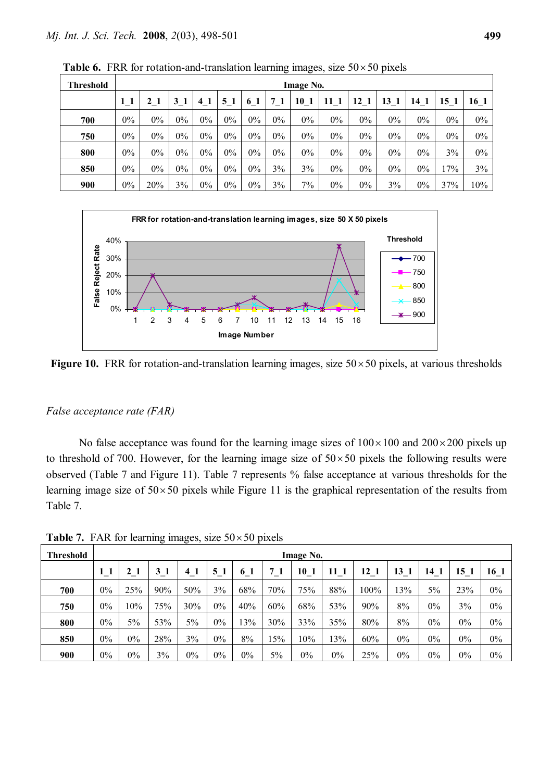| <b>Threshold</b> | <b>Image No.</b> |       |       |       |                |       |       |       |              |       |                       |       |       |        |
|------------------|------------------|-------|-------|-------|----------------|-------|-------|-------|--------------|-------|-----------------------|-------|-------|--------|
|                  |                  | 21    | 31    | 41    | 5 <sub>1</sub> | 6 1   |       | 10    | $\mathbf{1}$ | 12 1  | $\vert 3 \vert$<br>-1 | 14    | 5     | 16 1   |
| 700              | $0\%$            | $0\%$ | $0\%$ | 0%    | $0\%$          | $0\%$ | $0\%$ | $0\%$ | $0\%$        | $0\%$ | $0\%$                 | $0\%$ | $0\%$ | $0\%$  |
| 750              | $0\%$            | 0%    | 0%    | $0\%$ | $0\%$          | 0%    | $0\%$ | $0\%$ | $0\%$        | $0\%$ | $0\%$                 | $0\%$ | $0\%$ | $0\%$  |
| 800              | $0\%$            | $0\%$ | $0\%$ | $0\%$ | $0\%$          | 0%    | $0\%$ | $0\%$ | $0\%$        | $0\%$ | $0\%$                 | $0\%$ | 3%    | $0\%$  |
| 850              | $0\%$            | $0\%$ | $0\%$ | $0\%$ | $0\%$          | $0\%$ | 3%    | 3%    | $0\%$        | $0\%$ | $0\%$                 | $0\%$ | 17%   | 3%     |
| 900              | $0\%$            | 20%   | 3%    | $0\%$ | $0\%$          | $0\%$ | 3%    | 7%    | $0\%$        | $0\%$ | 3%                    | $0\%$ | 37%   | $10\%$ |

**Table 6.** FRR for rotation-and-translation learning images, size  $50 \times 50$  pixels



**Figure 10.** FRR for rotation-and-translation learning images, size  $50 \times 50$  pixels, at various thresholds

# *False acceptance rate (FAR)*

No false acceptance was found for the learning image sizes of  $100 \times 100$  and  $200 \times 200$  pixels up to threshold of 700. However, for the learning image size of  $50\times50$  pixels the following results were observed (Table 7 and Figure 11). Table 7 represents % false acceptance at various thresholds for the learning image size of  $50 \times 50$  pixels while Figure 11 is the graphical representation of the results from Table 7.

| <b>Threshold</b> | <b>Image No.</b> |                |     |       |       |                |     |                 |      |      |       |                 |       |       |
|------------------|------------------|----------------|-----|-------|-------|----------------|-----|-----------------|------|------|-------|-----------------|-------|-------|
|                  | $1\_1$           | $\mathbf{2}^-$ | 31  | 41    | 51    | 0 <sub>1</sub> | 71  | 10 <sub>1</sub> | 11 1 | 12 1 | 13 1  | 14 <sub>1</sub> | 15 1  | 16 1  |
| 700              | $0\%$            | 25%            | 90% | 50%   | 3%    | 68%            | 70% | 75%             | 88%  | 100% | 13%   | 5%              | 23%   | $0\%$ |
| 750              | $0\%$            | 10%            | 75% | 30%   | $0\%$ | 40%            | 60% | 68%             | 53%  | 90%  | 8%    | $0\%$           | 3%    | $0\%$ |
| 800              | $0\%$            | 5%             | 53% | 5%    | $0\%$ | 13%            | 30% | 33%             | 35%  | 80%  | 8%    | $0\%$           | $0\%$ | $0\%$ |
| 850              | $0\%$            | 0%             | 28% | 3%    | $0\%$ | 8%             | 5%  | 10%             | 13%  | 60%  | $0\%$ | $0\%$           | $0\%$ | $0\%$ |
| 900              | $0\%$            | $0\%$          | 3%  | $0\%$ | $0\%$ | $0\%$          | 5%  | $0\%$           | 0%   | 25%  | $0\%$ | 0%              | $0\%$ | $0\%$ |

**Table 7.** FAR for learning images, size  $50 \times 50$  pixels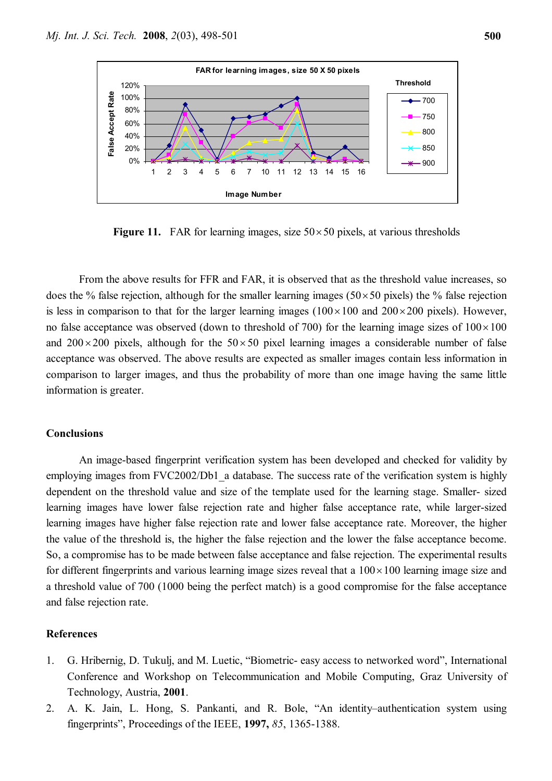

**Figure 11.** FAR for learning images, size  $50 \times 50$  pixels, at various thresholds

From the above results for FFR and FAR, it is observed that as the threshold value increases, so does the % false rejection, although for the smaller learning images ( $50 \times 50$  pixels) the % false rejection is less in comparison to that for the larger learning images  $(100 \times 100$  and  $200 \times 200$  pixels). However, no false acceptance was observed (down to threshold of 700) for the learning image sizes of  $100\times100$ and  $200 \times 200$  pixels, although for the  $50 \times 50$  pixel learning images a considerable number of false acceptance was observed. The above results are expected as smaller images contain less information in comparison to larger images, and thus the probability of more than one image having the same little information is greater.

### **Conclusions**

An image-based fingerprint verification system has been developed and checked for validity by employing images from FVC2002/Db1 a database. The success rate of the verification system is highly dependent on the threshold value and size of the template used for the learning stage. Smaller- sized learning images have lower false rejection rate and higher false acceptance rate, while larger-sized learning images have higher false rejection rate and lower false acceptance rate. Moreover, the higher the value of the threshold is, the higher the false rejection and the lower the false acceptance become. So, a compromise has to be made between false acceptance and false rejection. The experimental results for different fingerprints and various learning image sizes reveal that a  $100 \times 100$  learning image size and a threshold value of 700 (1000 being the perfect match) is a good compromise for the false acceptance and false rejection rate.

#### **References**

- 1. G. Hribernig, D. Tukulj, and M. Luetic, "Biometric- easy access to networked word", International Conference and Workshop on Telecommunication and Mobile Computing, Graz University of Technology, Austria, **2001**.
- 2. A. K. Jain, L. Hong, S. Pankanti, and R. Bole, "An identity–authentication system using fingerprints", Proceedings of the IEEE, **1997,** *85*, 1365-1388.